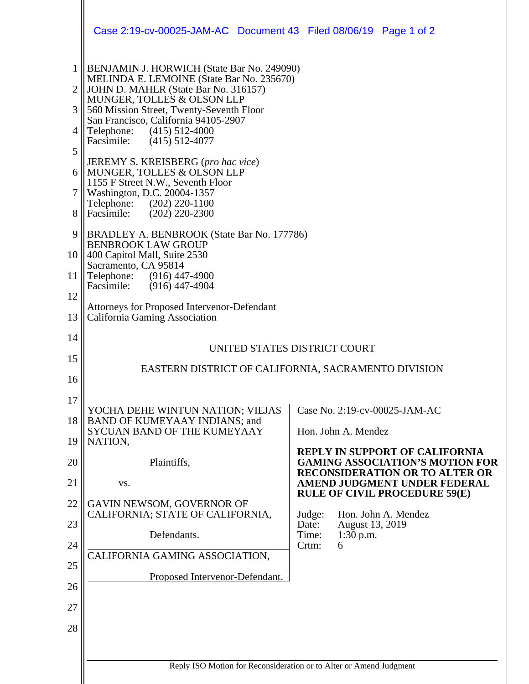|                 | Case 2:19-cv-00025-JAM-AC Document 43 Filed 08/06/19 Page 1 of 2                                                                       |                                                                                 |  |
|-----------------|----------------------------------------------------------------------------------------------------------------------------------------|---------------------------------------------------------------------------------|--|
| 1<br>2          | <b>BENJAMIN J. HORWICH (State Bar No. 249090)</b><br>MELINDA E. LEMOINE (State Bar No. 235670)<br>JOHN D. MAHER (State Bar No. 316157) |                                                                                 |  |
| 3               | MUNGER, TOLLES & OLSON LLP<br>560 Mission Street, Twenty-Seventh Floor                                                                 |                                                                                 |  |
| 4               | San Francisco, California 94105-2907<br>Telephone: (415) 512-4000                                                                      |                                                                                 |  |
| 5               | Facsimile: (415) 512-4077                                                                                                              |                                                                                 |  |
| 6               | JEREMY S. KREISBERG (pro hac vice)<br>MUNGER, TOLLES & OLSON LLP                                                                       |                                                                                 |  |
| $\tau$          | 1155 F Street N.W., Seventh Floor<br>Washington, D.C. 20004-1357                                                                       |                                                                                 |  |
| 8               | Telephone: (202) 220-1100<br>Facsimile: (202) 220-2300                                                                                 |                                                                                 |  |
| 9               | BRADLEY A. BENBROOK (State Bar No. 177786)                                                                                             |                                                                                 |  |
| 10 <sup>1</sup> | <b>BENBROOK LAW GROUP</b><br>400 Capitol Mall, Suite 2530<br>Sacramento, CA 95814                                                      |                                                                                 |  |
| 11              | Telephone: (916) 447-4900<br>Facsimile: (916) 447-4904                                                                                 |                                                                                 |  |
| 12              | Attorneys for Proposed Intervenor-Defendant                                                                                            |                                                                                 |  |
| 13              | California Gaming Association                                                                                                          |                                                                                 |  |
| 14              | UNITED STATES DISTRICT COURT<br>EASTERN DISTRICT OF CALIFORNIA, SACRAMENTO DIVISION                                                    |                                                                                 |  |
| 15              |                                                                                                                                        |                                                                                 |  |
| 16              |                                                                                                                                        |                                                                                 |  |
| 17<br>18        | YOCHA DEHE WINTUN NATION; VIEJAS<br>BAND OF KUMEYAAY INDIANS; and                                                                      | Case No. 2:19-cv-00025-JAM-AC                                                   |  |
| 19              | SYCUAN BAND OF THE KUMEYAAY<br>NATION,                                                                                                 | Hon. John A. Mendez                                                             |  |
| 20              | Plaintiffs,                                                                                                                            | <b>REPLY IN SUPPORT OF CALIFORNIA</b><br><b>GAMING ASSOCIATION'S MOTION FOR</b> |  |
| 21              | VS.                                                                                                                                    | <b>RECONSIDERATION OR TO ALTER OR</b><br>AMEND JUDGMENT UNDER FEDERAL           |  |
| 22              | GAVIN NEWSOM, GOVERNOR OF                                                                                                              | <b>RULE OF CIVIL PROCEDURE 59(E)</b>                                            |  |
| 23              | CALIFORNIA; STATE OF CALIFORNIA,                                                                                                       | Hon. John A. Mendez<br>Judge:<br>Date:<br>August 13, 2019                       |  |
| 24              | Defendants.                                                                                                                            | Time:<br>1:30 p.m.<br>Crtm:<br>6                                                |  |
| 25              | CALIFORNIA GAMING ASSOCIATION,                                                                                                         |                                                                                 |  |
| 26              | Proposed Intervenor-Defendant.                                                                                                         |                                                                                 |  |
| 27              |                                                                                                                                        |                                                                                 |  |
| 28              |                                                                                                                                        |                                                                                 |  |
|                 |                                                                                                                                        |                                                                                 |  |
|                 | Reply ISO Motion for Reconsideration or to Alter or Amend Judgment                                                                     |                                                                                 |  |